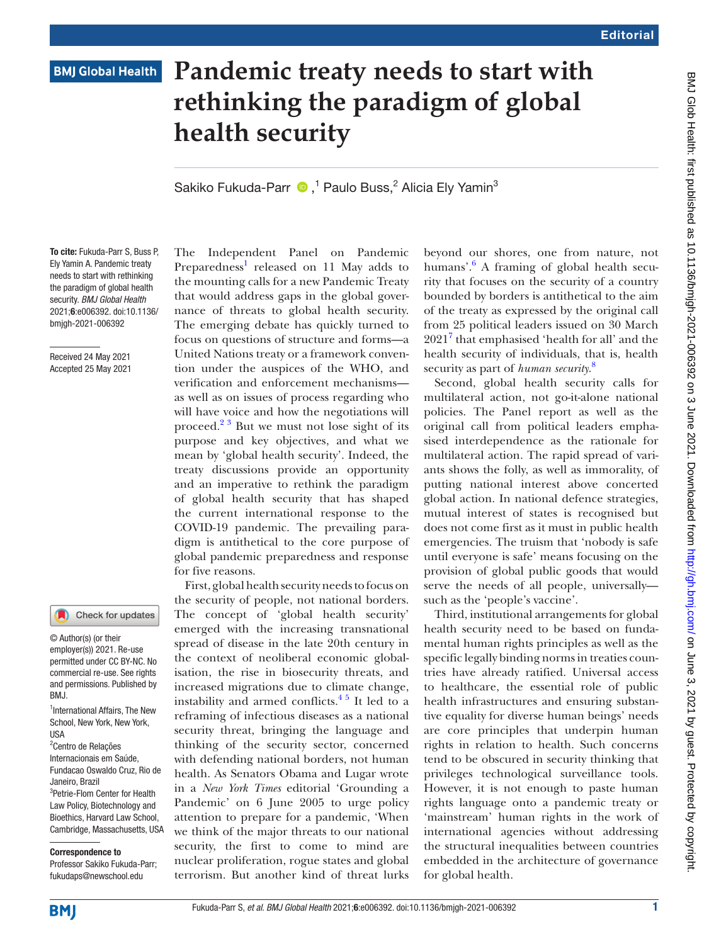## **BMJ Global Health**

# **Pandemic treaty needs to start with rethinking the paradigm of global health security**

SakikoFukuda-Parr  $\bullet$ ,<sup>1</sup> Paulo Buss,<sup>2</sup> Alicia Ely Yamin<sup>3</sup>

To cite: Fukuda-Parr S, Buss P, Ely Yamin A. Pandemic treaty needs to start with rethinking the paradigm of global health security. *BMJ Global Health* 2021;6:e006392. doi:10.1136/ bmjgh-2021-006392

Received 24 May 2021 Accepted 25 May 2021

#### Check for updates

© Author(s) (or their employer(s)) 2021. Re-use permitted under CC BY-NC. No commercial re-use. See rights and permissions. Published by BMJ.

1 International Affairs, The New School, New York, New York, USA

<sup>2</sup> Centro de Relações Internacionais em Saúde, Fundacao Oswaldo Cruz, Rio de Janeiro, Brazil 3 Petrie-Flom Center for Health Law Policy, Biotechnology and Bioethics, Harvard Law School, Cambridge, Massachusetts, USA

#### Correspondence to

Professor Sakiko Fukuda-Parr; fukudaps@newschool.edu

The Independent Panel on Pandemic Preparedness<sup>[1](#page-1-0)</sup> released on 11 May adds to the mounting calls for a new Pandemic Treaty that would address gaps in the global governance of threats to global health security. The emerging debate has quickly turned to focus on questions of structure and forms—a United Nations treaty or a framework convention under the auspices of the WHO, and verification and enforcement mechanisms as well as on issues of process regarding who will have voice and how the negotiations will proceed.<sup>23</sup> But we must not lose sight of its purpose and key objectives, and what we mean by 'global health security'. Indeed, the treaty discussions provide an opportunity and an imperative to rethink the paradigm of global health security that has shaped the current international response to the COVID-19 pandemic. The prevailing paradigm is antithetical to the core purpose of global pandemic preparedness and response for five reasons.

First, global health security needs to focus on the security of people, not national borders. The concept of 'global health security' emerged with the increasing transnational spread of disease in the late 20th century in the context of neoliberal economic globalisation, the rise in biosecurity threats, and increased migrations due to climate change, instability and armed conflicts. $4^{\frac{1}{2}}$  It led to a reframing of infectious diseases as a national security threat, bringing the language and thinking of the security sector, concerned with defending national borders, not human health. As Senators Obama and Lugar wrote in a *New York Times* editorial 'Grounding a Pandemic' on 6 June 2005 to urge policy attention to prepare for a pandemic, 'When we think of the major threats to our national security, the first to come to mind are nuclear proliferation, rogue states and global terrorism. But another kind of threat lurks

beyond our shores, one from nature, not humans'.<sup>[6](#page-1-3)</sup> A framing of global health security that focuses on the security of a country bounded by borders is antithetical to the aim of the treaty as expressed by the original call from 25 political leaders issued on 30 March 2021<sup>[7](#page-1-4)</sup> that emphasised 'health for all' and the health security of individuals, that is, health security as part of *human security*. [8](#page-1-5)

Second, global health security calls for multilateral action, not go-it-alone national policies. The Panel report as well as the original call from political leaders emphasised interdependence as the rationale for multilateral action. The rapid spread of variants shows the folly, as well as immorality, of putting national interest above concerted global action. In national defence strategies, mutual interest of states is recognised but does not come first as it must in public health emergencies. The truism that 'nobody is safe until everyone is safe' means focusing on the provision of global public goods that would serve the needs of all people, universally such as the 'people's vaccine'.

Third, institutional arrangements for global health security need to be based on fundamental human rights principles as well as the specific legally binding norms in treaties countries have already ratified. Universal access to healthcare, the essential role of public health infrastructures and ensuring substantive equality for diverse human beings' needs are core principles that underpin human rights in relation to health. Such concerns tend to be obscured in security thinking that privileges technological surveillance tools. However, it is not enough to paste human rights language onto a pandemic treaty or 'mainstream' human rights in the work of international agencies without addressing the structural inequalities between countries embedded in the architecture of governance for global health.